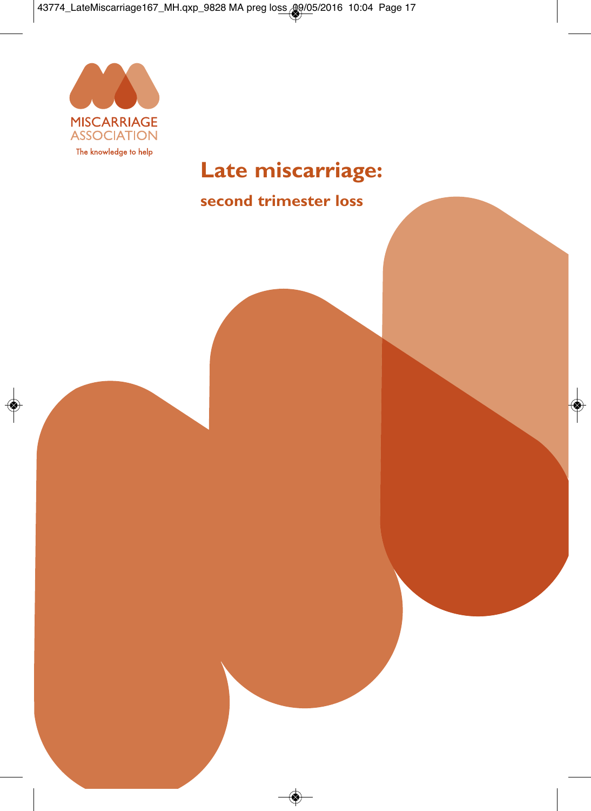

# **Late miscarriage:**

# **second trimester loss**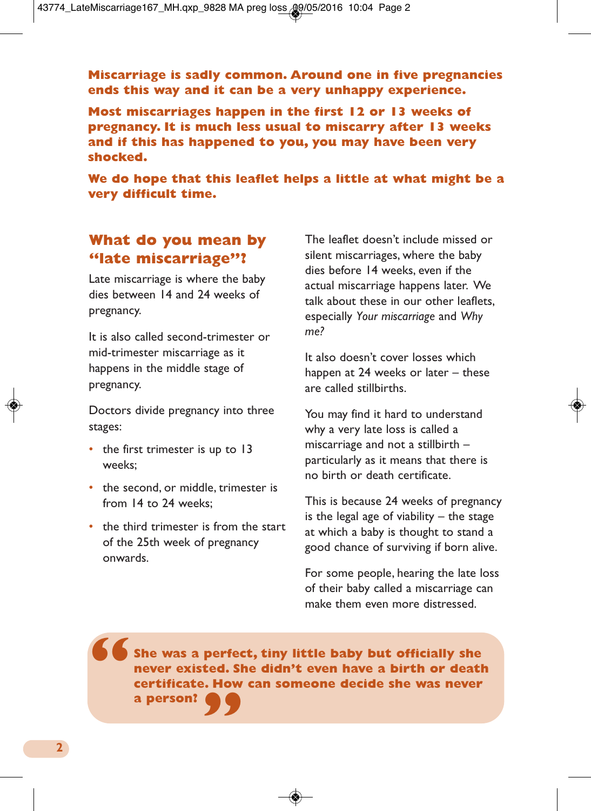**Miscarriage is sadly common. Around one in five pregnancies ends this way and it can be a very unhappy experience.**

**Most miscarriages happen in the first 12 or 13 weeks of pregnancy. It is much less usual to miscarry after 13 weeks and if this has happened to you, you may have been very shocked.**

**We do hope that this leaflet helps a little at what might be a very difficult time.**

# **What do you mean by "late miscarriage"?**

Late miscarriage is where the baby dies between 14 and 24 weeks of pregnancy.

It is also called second-trimester or mid-trimester miscarriage as it happens in the middle stage of pregnancy.

Doctors divide pregnancy into three stages:

- the first trimester is up to 13 weeks;
- the second, or middle, trimester is from 14 to 24 weeks;
- the third trimester is from the start of the 25th week of pregnancy onwards.

The leaflet doesn't include missed or silent miscarriages, where the baby dies before 14 weeks, even if the actual miscarriage happens later. We talk about these in our other leaflets, especially *Your miscarriage* and *Why me?*

It also doesn't cover losses which happen at 24 weeks or later – these are called stillbirths.

You may find it hard to understand why a very late loss is called a miscarriage and not a stillbirth – particularly as it means that there is no birth or death certificate.

This is because 24 weeks of pregnancy is the legal age of viability  $-$  the stage at which a baby is thought to stand a good chance of surviving if born alive.

For some people, hearing the late loss of their baby called a miscarriage can make them even more distressed.

**She was a perfect, tiny little baby but officially she never existed. She didn't even have a birth or death certificate. How can someone decide she was never " a person? "**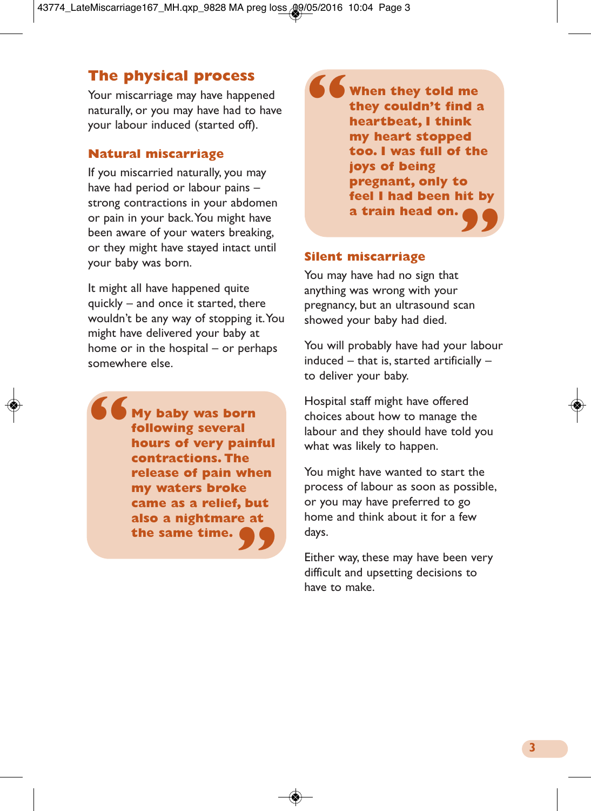# **The physical process**

Your miscarriage may have happened naturally, or you may have had to have your labour induced (started off).

#### **Natural miscarriage**

If you miscarried naturally, you may have had period or labour pains – strong contractions in your abdomen or pain in your back.You might have been aware of your waters breaking, or they might have stayed intact until your baby was born.

It might all have happened quite quickly – and once it started, there wouldn't be any way of stopping it.You might have delivered your baby at home or in the hospital – or perhaps somewhere else.

**My baby was born following several hours of very painful contractions. The release of pain when my waters broke came as a relief, but also a nightmare at " the same time. "**

**When they told me they couldn't find a heartbeat, I think my heart stopped too. I was full of the joys of being pregnant, only to feel I had been hit by " a train head on. "**

#### **Silent miscarriage**

You may have had no sign that anything was wrong with your pregnancy, but an ultrasound scan showed your baby had died.

You will probably have had your labour induced – that is, started artificially – to deliver your baby.

Hospital staff might have offered choices about how to manage the labour and they should have told you what was likely to happen.

You might have wanted to start the process of labour as soon as possible, or you may have preferred to go home and think about it for a few days.

Either way, these may have been very difficult and upsetting decisions to have to make.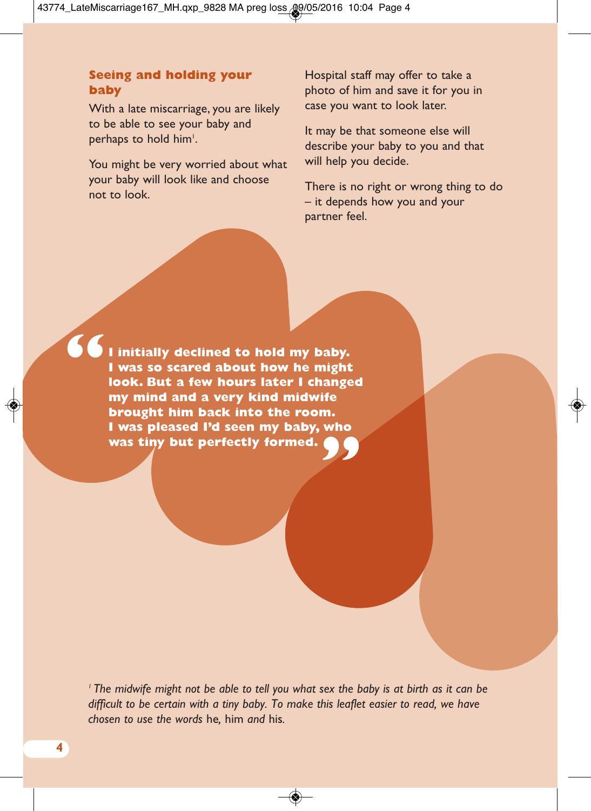#### **Seeing and holding your baby**

With a late miscarriage, you are likely to be able to see your baby and perhaps to hold him'.

You might be very worried about what your baby will look like and choose not to look.

Hospital staff may offer to take a photo of him and save it for you in case you want to look later.

It may be that someone else will describe your baby to you and that will help you decide.

There is no right or wrong thing to do – it depends how you and your partner feel.

**I initially declined to hold my baby. I was so scared about how he might look. But a few hours later I changed my mind and a very kind midwife brought him back into the room. I** was pleased I'd seen my baby, who<br>was tiny but perfectly formed. **was tiny but perfectly formed. "**

<sup>1</sup> The midwife might not be able to tell you what sex the baby is at birth as it can be *difficult to be certain with a tiny baby. To make this leaflet easier to read, we have chosen to use the words* he*,* him *and* his*.*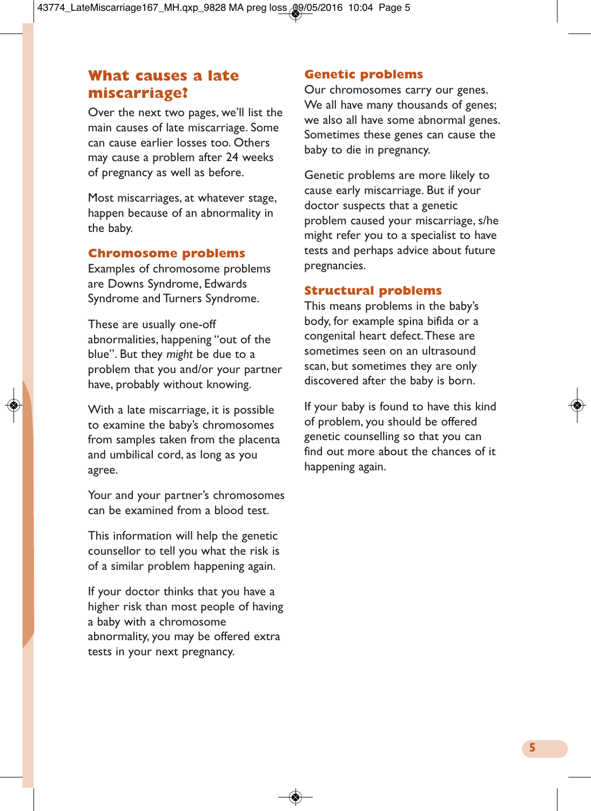### **What causes a late miscarriage?**

Over the next two pages, we'll list the main causes of late miscarriage. Some can cause earlier losses too. Others may cause a problem after 24 weeks of pregnancy as well as before.

Most miscarriages, at whatever stage, happen because of an abnormality in the baby.

#### **Chromosome problems**

Examples of chromosome problems are Downs Syndrome, Edwards Syndrome and Turners Syndrome.

These are usually one-off abnormalities, happening "out of the blue". But they *might* be due to a problem that you and/or your partner have, probably without knowing.

With a late miscarriage, it is possible to examine the baby's chromosomes from samples taken from the placenta and umbilical cord, as long as you agree.

Your and your partner's chromosomes can be examined from a blood test.

This information will help the genetic counsellor to tell you what the risk is of a similar problem happening again.

If your doctor thinks that you have a higher risk than most people of having a baby with a chromosome abnormality, you may be offered extra tests in your next pregnancy.

#### **Genetic problems**

Our chromosomes carry our genes. We all have many thousands of genes; we also all have some abnormal genes. Sometimes these genes can cause the baby to die in pregnancy.

Genetic problems are more likely to cause early miscarriage. But if your doctor suspects that a genetic problem caused your miscarriage, s/he might refer you to a specialist to have tests and perhaps advice about future pregnancies.

#### **Structural problems**

This means problems in the baby's body, for example spina bifida or a congenital heart defect.These are sometimes seen on an ultrasound scan, but sometimes they are only discovered after the baby is born.

If your baby is found to have this kind of problem, you should be offered genetic counselling so that you can find out more about the chances of it happening again.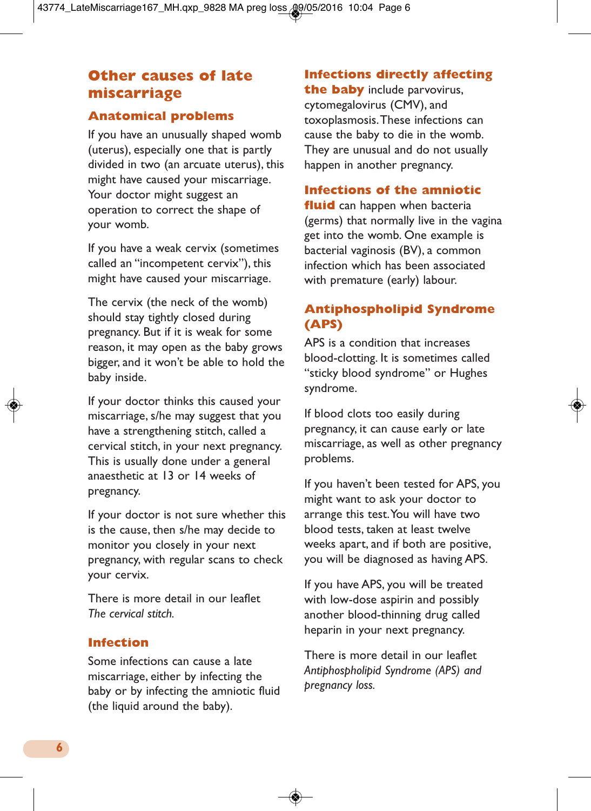# **Other causes of late miscarriage**

#### **Anatomical problems**

If you have an unusually shaped womb (uterus), especially one that is partly divided in two (an arcuate uterus), this might have caused your miscarriage. Your doctor might suggest an operation to correct the shape of your womb.

If you have a weak cervix (sometimes called an "incompetent cervix"), this might have caused your miscarriage.

The cervix (the neck of the womb) should stay tightly closed during pregnancy. But if it is weak for some reason, it may open as the baby grows bigger, and it won't be able to hold the baby inside.

If your doctor thinks this caused your miscarriage, s/he may suggest that you have a strengthening stitch, called a cervical stitch, in your next pregnancy. This is usually done under a general anaesthetic at 13 or 14 weeks of pregnancy.

If your doctor is not sure whether this is the cause, then s/he may decide to monitor you closely in your next pregnancy, with regular scans to check your cervix.

There is more detail in our leaflet *The cervical stitch.*

#### **Infection**

Some infections can cause a late miscarriage, either by infecting the baby or by infecting the amniotic fluid (the liquid around the baby).

### **Infections directly affecting**

**the baby** include parvovirus, cytomegalovirus (CMV), and toxoplasmosis.These infections can cause the baby to die in the womb. They are unusual and do not usually happen in another pregnancy.

#### **Infections of the amniotic**

**fluid** can happen when bacteria (germs) that normally live in the vagina get into the womb. One example is bacterial vaginosis (BV), a common infection which has been associated with premature (early) labour.

### **Antiphospholipid Syndrome (APS)**

APS is a condition that increases blood-clotting. It is sometimes called "sticky blood syndrome" or Hughes syndrome.

If blood clots too easily during pregnancy, it can cause early or late miscarriage, as well as other pregnancy problems.

If you haven't been tested for APS, you might want to ask your doctor to arrange this test.You will have two blood tests, taken at least twelve weeks apart, and if both are positive, you will be diagnosed as having APS.

If you have APS, you will be treated with low-dose aspirin and possibly another blood-thinning drug called heparin in your next pregnancy.

There is more detail in our leaflet *Antiphospholipid Syndrome (APS) and pregnancy loss.*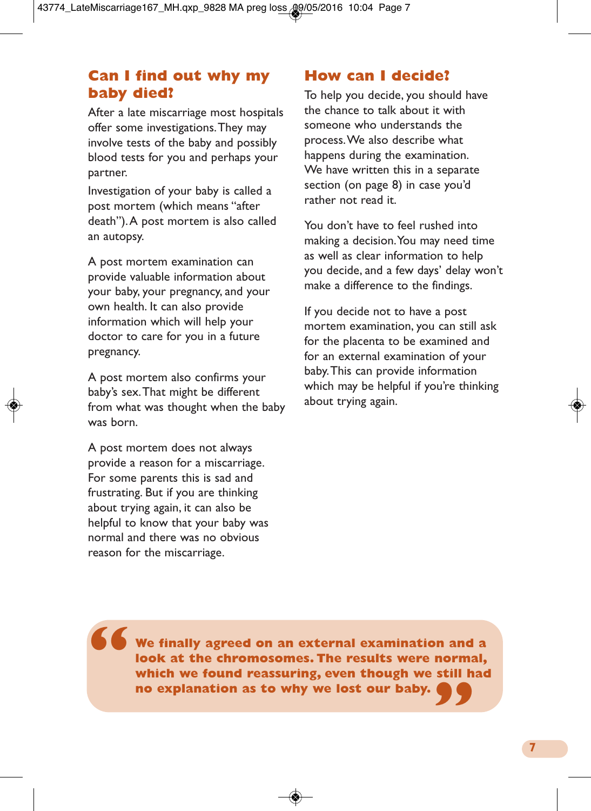# **Can I find out why my baby died?**

After a late miscarriage most hospitals offer some investigations.They may involve tests of the baby and possibly blood tests for you and perhaps your partner.

Investigation of your baby is called a post mortem (which means "after death").A post mortem is also called an autopsy.

A post mortem examination can provide valuable information about your baby, your pregnancy, and your own health. It can also provide information which will help your doctor to care for you in a future pregnancy.

A post mortem also confirms your baby's sex.That might be different from what was thought when the baby was born.

A post mortem does not always provide a reason for a miscarriage. For some parents this is sad and frustrating. But if you are thinking about trying again, it can also be helpful to know that your baby was normal and there was no obvious reason for the miscarriage.

**"**

### **How can I decide?**

To help you decide, you should have the chance to talk about it with someone who understands the process.We also describe what happens during the examination. We have written this in a separate section (on page 8) in case you'd rather not read it.

You don't have to feel rushed into making a decision.You may need time as well as clear information to help you decide, and a few days' delay won't make a difference to the findings.

If you decide not to have a post mortem examination, you can still ask for the placenta to be examined and for an external examination of your baby.This can provide information which may be helpful if you're thinking about trying again.

**We finally agreed on an external examination and a look at the chromosomes. The results were normal, which we found reassuring, even though we still had " no explanation as to why we lost our baby.**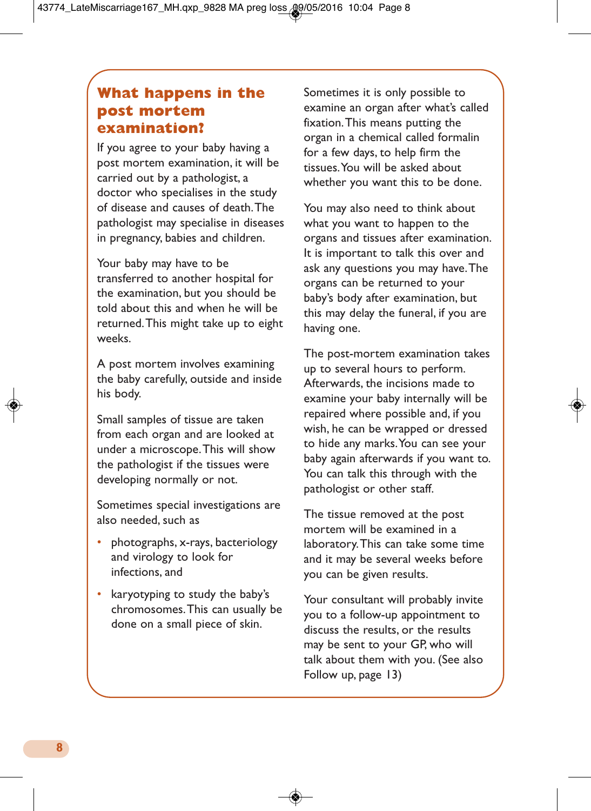# **What happens in the post mortem examination?**

If you agree to your baby having a post mortem examination, it will be carried out by a pathologist, a doctor who specialises in the study of disease and causes of death.The pathologist may specialise in diseases in pregnancy, babies and children.

Your baby may have to be transferred to another hospital for the examination, but you should be told about this and when he will be returned.This might take up to eight weeks.

A post mortem involves examining the baby carefully, outside and inside his body.

Small samples of tissue are taken from each organ and are looked at under a microscope.This will show the pathologist if the tissues were developing normally or not.

Sometimes special investigations are also needed, such as

- photographs, x-rays, bacteriology and virology to look for infections, and
- karyotyping to study the baby's chromosomes.This can usually be done on a small piece of skin.

Sometimes it is only possible to examine an organ after what's called fixation.This means putting the organ in a chemical called formalin for a few days, to help firm the tissues.You will be asked about whether you want this to be done.

You may also need to think about what you want to happen to the organs and tissues after examination. It is important to talk this over and ask any questions you may have.The organs can be returned to your baby's body after examination, but this may delay the funeral, if you are having one.

The post-mortem examination takes up to several hours to perform. Afterwards, the incisions made to examine your baby internally will be repaired where possible and, if you wish, he can be wrapped or dressed to hide any marks.You can see your baby again afterwards if you want to. You can talk this through with the pathologist or other staff.

The tissue removed at the post mortem will be examined in a laboratory.This can take some time and it may be several weeks before you can be given results.

Your consultant will probably invite you to a follow-up appointment to discuss the results, or the results may be sent to your GP, who will talk about them with you. (See also Follow up, page 13)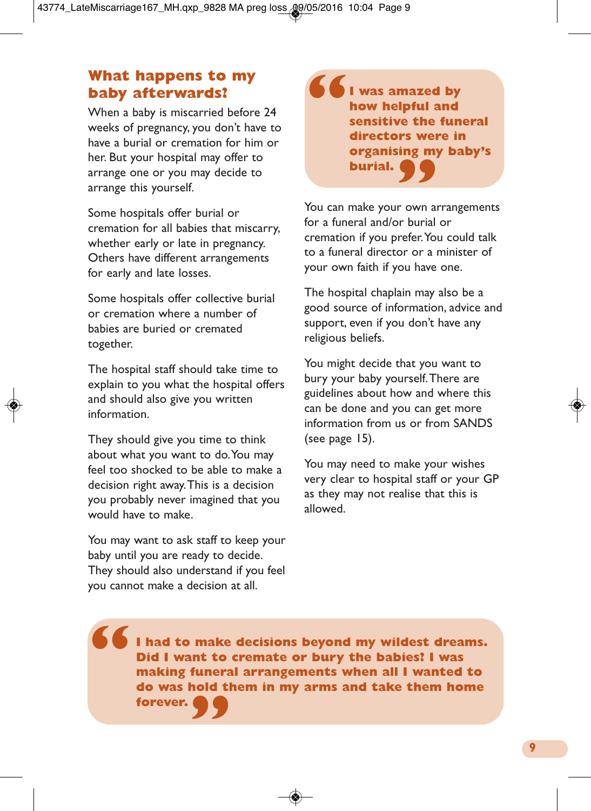## **What happens to my baby afterwards?**

When a baby is miscarried before 24 weeks of pregnancy, you don't have to have a burial or cremation for him or her. But your hospital may offer to arrange one or you may decide to arrange this yourself.

Some hospitals offer burial or cremation for all babies that miscarry, whether early or late in pregnancy. Others have different arrangements for early and late losses.

Some hospitals offer collective burial or cremation where a number of babies are buried or cremated together.

The hospital staff should take time to explain to you what the hospital offers and should also give you written information.

They should give you time to think about what you want to do.You may feel too shocked to be able to make a decision right away.This is a decision you probably never imagined that you would have to make.

You may want to ask staff to keep your baby until you are ready to decide. They should also understand if you feel you cannot make a decision at all.

**I was amazed by how helpful and sensitive the funeral directors were in organising my baby's " burial. "**

You can make your own arrangements for a funeral and/or burial or cremation if you prefer.You could talk to a funeral director or a minister of your own faith if you have one.

The hospital chaplain may also be a good source of information, advice and support, even if you don't have any religious beliefs.

You might decide that you want to bury your baby yourself.There are guidelines about how and where this can be done and you can get more information from us or from SANDS (see page 15).

You may need to make your wishes very clear to hospital staff or your GP as they may not realise that this is allowed.

**I had to make decisions beyond my wildest dreams. Did I want to cremate or bury the babies? I was making funeral arrangements when all I wanted to do was hold them in my arms and take them home " forever. "**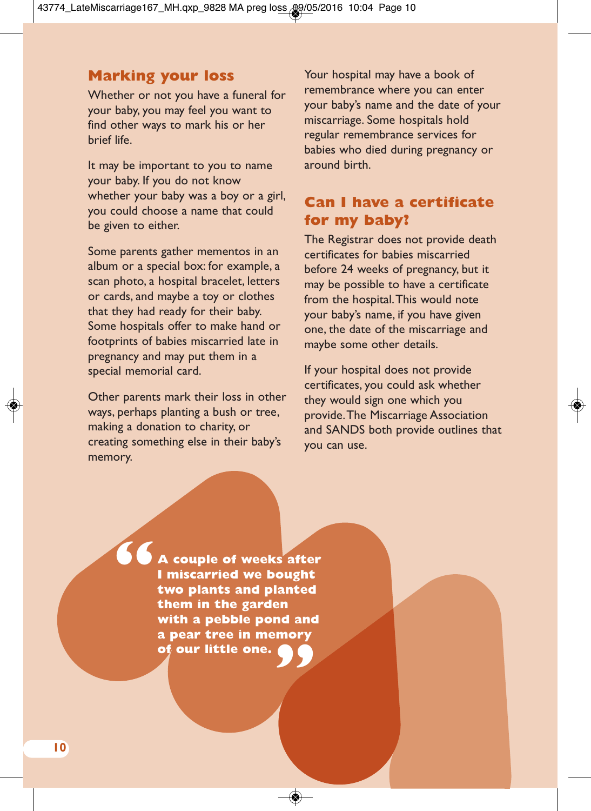### **Marking your loss**

Whether or not you have a funeral for your baby, you may feel you want to find other ways to mark his or her brief life.

It may be important to you to name your baby. If you do not know whether your baby was a boy or a girl, you could choose a name that could be given to either.

Some parents gather mementos in an album or a special box: for example, a scan photo, a hospital bracelet, letters or cards, and maybe a toy or clothes that they had ready for their baby. Some hospitals offer to make hand or footprints of babies miscarried late in pregnancy and may put them in a special memorial card.

Other parents mark their loss in other ways, perhaps planting a bush or tree, making a donation to charity, or creating something else in their baby's memory.

Your hospital may have a book of remembrance where you can enter your baby's name and the date of your miscarriage. Some hospitals hold regular remembrance services for babies who died during pregnancy or around birth.

# **Can I have a certificate for my baby?**

The Registrar does not provide death certificates for babies miscarried before 24 weeks of pregnancy, but it may be possible to have a certificate from the hospital.This would note your baby's name, if you have given one, the date of the miscarriage and maybe some other details.

If your hospital does not provide certificates, you could ask whether they would sign one which you provide.The Miscarriage Association and SANDS both provide outlines that you can use.

**A couple of weeks after I miscarried we bought two plants and planted them in the garden with a pebble pond and a pear tree in memory " of our little one. "**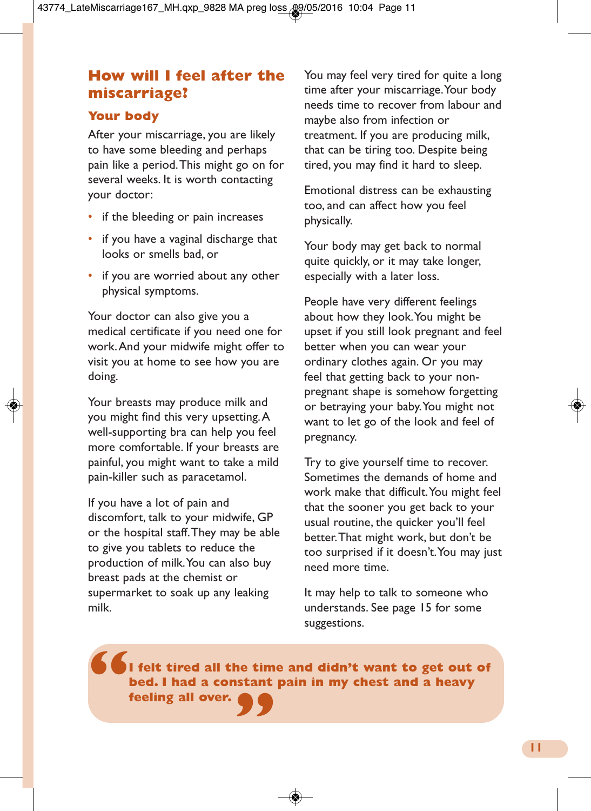# **How will I feel after the miscarriage?**

### **Your body**

After your miscarriage, you are likely to have some bleeding and perhaps pain like a period.This might go on for several weeks. It is worth contacting your doctor:

- if the bleeding or pain increases
- if you have a vaginal discharge that looks or smells bad, or
- if you are worried about any other physical symptoms.

Your doctor can also give you a medical certificate if you need one for work.And your midwife might offer to visit you at home to see how you are doing.

Your breasts may produce milk and you might find this very upsetting.A well-supporting bra can help you feel more comfortable. If your breasts are painful, you might want to take a mild pain-killer such as paracetamol.

If you have a lot of pain and discomfort, talk to your midwife, GP or the hospital staff.They may be able to give you tablets to reduce the production of milk.You can also buy breast pads at the chemist or supermarket to soak up any leaking milk.

You may feel very tired for quite a long time after your miscarriage.Your body needs time to recover from labour and maybe also from infection or treatment. If you are producing milk, that can be tiring too. Despite being tired, you may find it hard to sleep.

Emotional distress can be exhausting too, and can affect how you feel physically.

Your body may get back to normal quite quickly, or it may take longer, especially with a later loss.

People have very different feelings about how they look.You might be upset if you still look pregnant and feel better when you can wear your ordinary clothes again. Or you may feel that getting back to your nonpregnant shape is somehow forgetting or betraying your baby.You might not want to let go of the look and feel of pregnancy.

Try to give yourself time to recover. Sometimes the demands of home and work make that difficult.You might feel that the sooner you get back to your usual routine, the quicker you'll feel better.That might work, but don't be too surprised if it doesn't.You may just need more time.

It may help to talk to someone who understands. See page 15 for some suggestions.

**I felt tired all the time and didn't want to get out of bed. I had a constant pain in my chest and a heavy " " feeling all over.**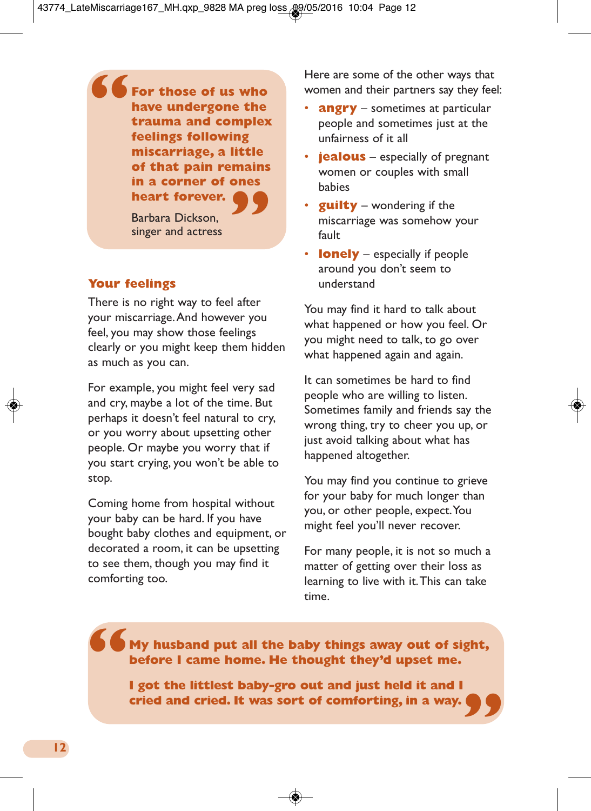**For those of us who have undergone the trauma and complex feelings following miscarriage, a little of that pain remains heart forever.**<br> **P heart forever. "**

Barbara Dickson, singer and actress

#### **Your feelings**

There is no right way to feel after your miscarriage.And however you feel, you may show those feelings clearly or you might keep them hidden as much as you can.

For example, you might feel very sad and cry, maybe a lot of the time. But perhaps it doesn't feel natural to cry, or you worry about upsetting other people. Or maybe you worry that if you start crying, you won't be able to stop.

Coming home from hospital without your baby can be hard. If you have bought baby clothes and equipment, or decorated a room, it can be upsetting to see them, though you may find it comforting too.

Here are some of the other ways that women and their partners say they feel:

- **angry** sometimes at particular people and sometimes just at the unfairness of it all
- **jealous** especially of pregnant women or couples with small babies
- **guilty** wondering if the miscarriage was somehow your fault
- **lonely** especially if people around you don't seem to understand

You may find it hard to talk about what happened or how you feel. Or you might need to talk, to go over what happened again and again.

It can sometimes be hard to find people who are willing to listen. Sometimes family and friends say the wrong thing, try to cheer you up, or just avoid talking about what has happened altogether.

You may find you continue to grieve for your baby for much longer than you, or other people, expect.You might feel you'll never recover.

For many people, it is not so much a matter of getting over their loss as learning to live with it.This can take time.

# **My husband put all the baby things away out of sight, before I came home. He thought they'd upset me. "**

**I got the littlest baby-gro out and just held it and I cried and cried. It was sort of comforting, in a way. "**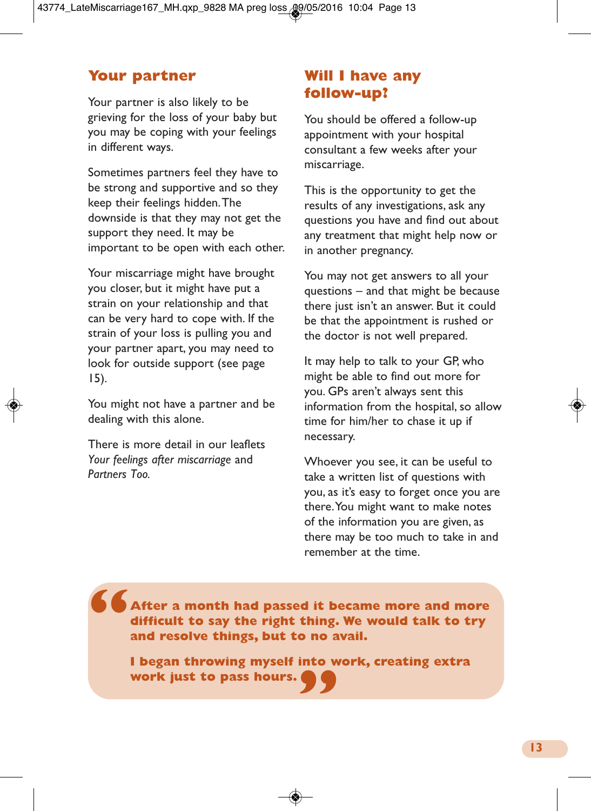### **Your partner**

Your partner is also likely to be grieving for the loss of your baby but you may be coping with your feelings in different ways.

Sometimes partners feel they have to be strong and supportive and so they keep their feelings hidden.The downside is that they may not get the support they need. It may be important to be open with each other.

Your miscarriage might have brought you closer, but it might have put a strain on your relationship and that can be very hard to cope with. If the strain of your loss is pulling you and your partner apart, you may need to look for outside support (see page 15).

You might not have a partner and be dealing with this alone.

There is more detail in our leaflets *Your feelings after miscarriage* and *Partners Too.*

# **Will I have any follow-up?**

You should be offered a follow-up appointment with your hospital consultant a few weeks after your miscarriage.

This is the opportunity to get the results of any investigations, ask any questions you have and find out about any treatment that might help now or in another pregnancy.

You may not get answers to all your questions – and that might be because there just isn't an answer. But it could be that the appointment is rushed or the doctor is not well prepared.

It may help to talk to your GP, who might be able to find out more for you. GPs aren't always sent this information from the hospital, so allow time for him/her to chase it up if necessary.

Whoever you see, it can be useful to take a written list of questions with you, as it's easy to forget once you are there.You might want to make notes of the information you are given, as there may be too much to take in and remember at the time.

**After a month had passed it became more and more difficult to say the right thing. We would talk to try and resolve things, but to no avail. "**

**I** began throwing myself into work, creating extra<br>work just to pass hours.  $\bullet$ **work just to pass hours.**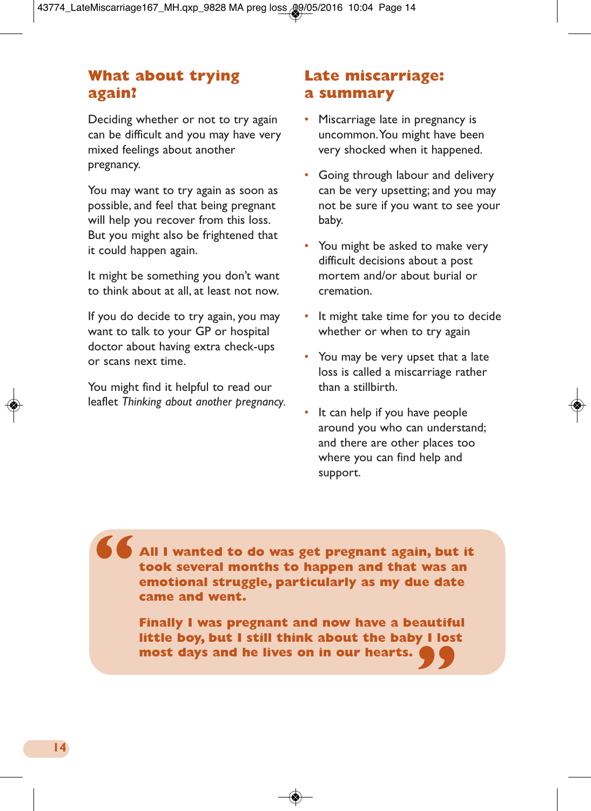# **What about trying again?**

Deciding whether or not to try again can be difficult and you may have very mixed feelings about another pregnancy.

You may want to try again as soon as possible, and feel that being pregnant will help you recover from this loss. But you might also be frightened that it could happen again.

It might be something you don't want to think about at all, at least not now.

If you do decide to try again, you may want to talk to your GP or hospital doctor about having extra check-ups or scans next time.

You might find it helpful to read our leaflet *Thinking about another pregnancy.*

# **Late miscarriage: a summary**

- Miscarriage late in pregnancy is uncommon.You might have been very shocked when it happened.
- Going through labour and delivery can be very upsetting; and you may not be sure if you want to see your baby.
- You might be asked to make very difficult decisions about a post mortem and/or about burial or cremation.
- It might take time for you to decide whether or when to try again
- You may be very upset that a late loss is called a miscarriage rather than a stillbirth.
- It can help if you have people around you who can understand; and there are other places too where you can find help and support.

**All I wanted to do was get pregnant again, but it took several months to happen and that was an emotional struggle, particularly as my due date came and went. "**

> **Finally I was pregnant and now have a beautiful little boy, but I still think about the baby I lost " most days and he lives on in our hearts.**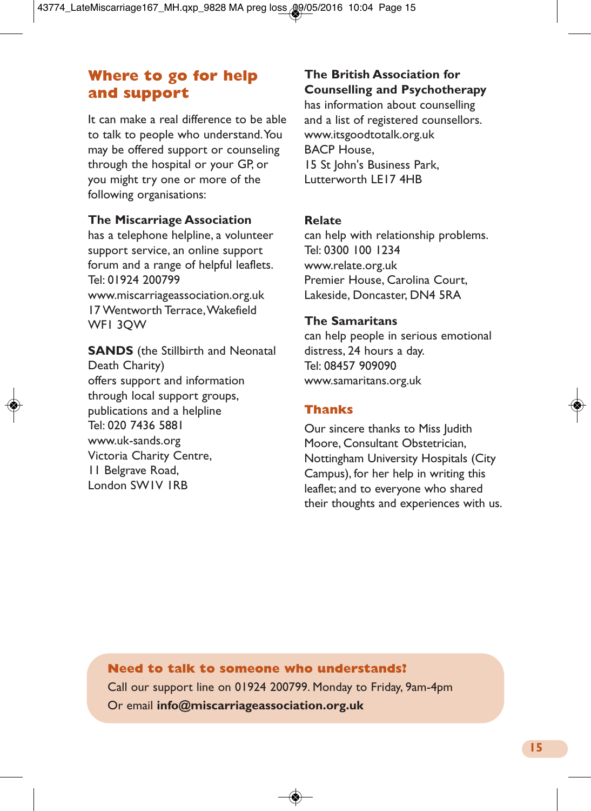### **Where to go for help and support**

It can make a real difference to be able to talk to people who understand.You may be offered support or counseling through the hospital or your GP, or you might try one or more of the following organisations:

#### **The Miscarriage Association**

has a telephone helpline, a volunteer support service, an online support forum and a range of helpful leaflets. Tel: 01924 200799 www.miscarriageassociation.org.uk 17 Wentworth Terrace,Wakefield WF1 3QW

**SANDS** (the Stillbirth and Neonatal Death Charity) offers support and information through local support groups, publications and a helpline Tel: 020 7436 5881 www.uk-sands.org Victoria Charity Centre, 11 Belgrave Road, London SW1V 1RB

### **The British Association for Counselling and Psychotherapy**

has information about counselling and a list of registered counsellors. www.itsgoodtotalk.org.uk BACP House, 15 St John's Business Park, Lutterworth LE17 4HB

#### **Relate**

can help with relationship problems. Tel: 0300 100 1234 www.relate.org.uk Premier House, Carolina Court, Lakeside, Doncaster, DN4 5RA

#### **The Samaritans**

can help people in serious emotional distress, 24 hours a day. Tel: 08457 909090 www.samaritans.org.uk

### **Thanks**

Our sincere thanks to Miss Judith Moore, Consultant Obstetrician, Nottingham University Hospitals (City Campus), for her help in writing this leaflet; and to everyone who shared their thoughts and experiences with us.

#### **Need to talk to someone who understands?**

Call our support line on 01924 200799. Monday to Friday, 9am-4pm Or email **info@miscarriageassociation.org.uk**